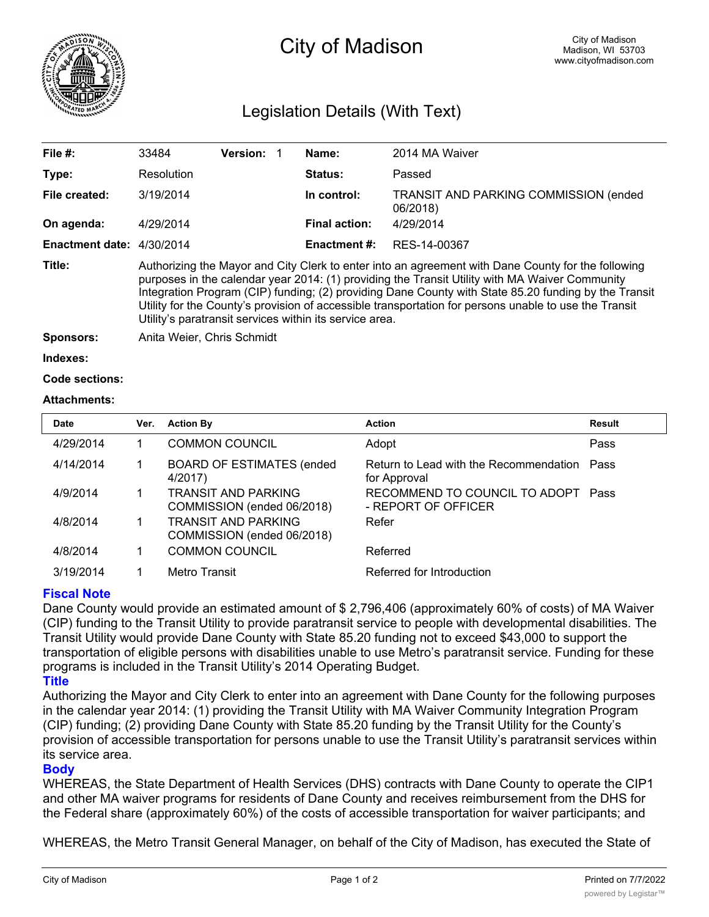

# City of Madison

# Legislation Details (With Text)

| File $#$ :                  | 33484                                                                                                                                                                                                                                                                                                                                                                                                                                                                            | <b>Version:</b> |  | Name:                | 2014 MA Waiver                                            |  |  |
|-----------------------------|----------------------------------------------------------------------------------------------------------------------------------------------------------------------------------------------------------------------------------------------------------------------------------------------------------------------------------------------------------------------------------------------------------------------------------------------------------------------------------|-----------------|--|----------------------|-----------------------------------------------------------|--|--|
| Type:                       | Resolution                                                                                                                                                                                                                                                                                                                                                                                                                                                                       |                 |  | Status:              | Passed                                                    |  |  |
| File created:               | 3/19/2014                                                                                                                                                                                                                                                                                                                                                                                                                                                                        |                 |  | In control:          | <b>TRANSIT AND PARKING COMMISSION (ended)</b><br>06/2018) |  |  |
| On agenda:                  | 4/29/2014                                                                                                                                                                                                                                                                                                                                                                                                                                                                        |                 |  | <b>Final action:</b> | 4/29/2014                                                 |  |  |
| Enactment date: $4/30/2014$ |                                                                                                                                                                                                                                                                                                                                                                                                                                                                                  |                 |  | Enactment #:         | RES-14-00367                                              |  |  |
| Title:                      | Authorizing the Mayor and City Clerk to enter into an agreement with Dane County for the following<br>purposes in the calendar year 2014: (1) providing the Transit Utility with MA Waiver Community<br>Integration Program (CIP) funding; (2) providing Dane County with State 85.20 funding by the Transit<br>Utility for the County's provision of accessible transportation for persons unable to use the Transit<br>Utility's paratransit services within its service area. |                 |  |                      |                                                           |  |  |
| <b>Sponsors:</b>            | Anita Weier, Chris Schmidt                                                                                                                                                                                                                                                                                                                                                                                                                                                       |                 |  |                      |                                                           |  |  |
| Indexes:                    |                                                                                                                                                                                                                                                                                                                                                                                                                                                                                  |                 |  |                      |                                                           |  |  |

```
Code sections:
```
### **Attachments:**

| <b>Date</b> | Ver. | <b>Action By</b>                                         | <b>Action</b>                                               | Result |
|-------------|------|----------------------------------------------------------|-------------------------------------------------------------|--------|
| 4/29/2014   |      | <b>COMMON COUNCIL</b>                                    | Adopt                                                       | Pass   |
| 4/14/2014   |      | <b>BOARD OF ESTIMATES (ended)</b><br>4/2017)             | Return to Lead with the Recommendation Pass<br>for Approval |        |
| 4/9/2014    |      | <b>TRANSIT AND PARKING</b><br>COMMISSION (ended 06/2018) | RECOMMEND TO COUNCIL TO ADOPT Pass<br>- REPORT OF OFFICER   |        |
| 4/8/2014    |      | <b>TRANSIT AND PARKING</b><br>COMMISSION (ended 06/2018) | Refer                                                       |        |
| 4/8/2014    |      | <b>COMMON COUNCIL</b>                                    | Referred                                                    |        |
| 3/19/2014   |      | Metro Transit                                            | Referred for Introduction                                   |        |

# **Fiscal Note**

Dane County would provide an estimated amount of \$ 2,796,406 (approximately 60% of costs) of MA Waiver (CIP) funding to the Transit Utility to provide paratransit service to people with developmental disabilities. The Transit Utility would provide Dane County with State 85.20 funding not to exceed \$43,000 to support the transportation of eligible persons with disabilities unable to use Metro's paratransit service. Funding for these programs is included in the Transit Utility's 2014 Operating Budget.

# **Title**

Authorizing the Mayor and City Clerk to enter into an agreement with Dane County for the following purposes in the calendar year 2014: (1) providing the Transit Utility with MA Waiver Community Integration Program (CIP) funding; (2) providing Dane County with State 85.20 funding by the Transit Utility for the County's provision of accessible transportation for persons unable to use the Transit Utility's paratransit services within its service area.

### **Body**

WHEREAS, the State Department of Health Services (DHS) contracts with Dane County to operate the CIP1 and other MA waiver programs for residents of Dane County and receives reimbursement from the DHS for the Federal share (approximately 60%) of the costs of accessible transportation for waiver participants; and

WHEREAS, the Metro Transit General Manager, on behalf of the City of Madison, has executed the State of